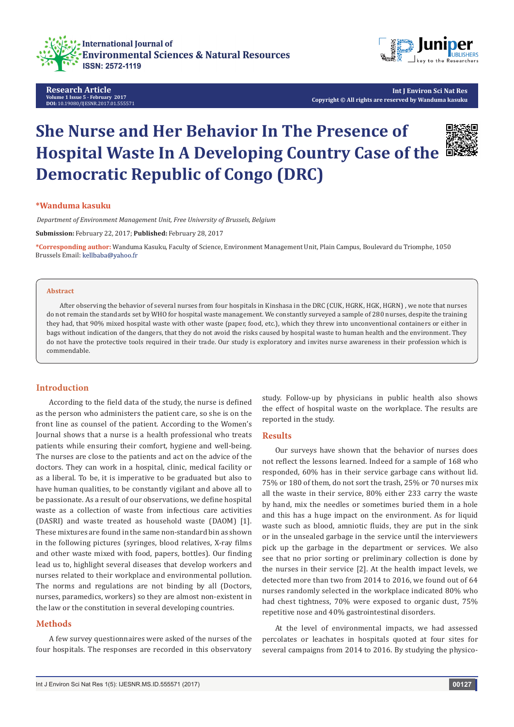

**Research Article Volume 1 Issue 5 - February 2017 DOI:** [10.19080/IJESNR.2017.01.555571](http://dx.doi.org/10.19080/IJESNR.2017.01.555571
)



**Int J Environ Sci Nat Res Copyright © All rights are reserved by Wanduma kasuku**

# **She Nurse and Her Behavior In The Presence of Hospital Waste In A Developing Country Case of the Democratic Republic of Congo (DRC)**



### **\*Wanduma kasuku**

*Department of Environment Management Unit, Free University of Brussels, Belgium*

**Submission:** February 22, 2017; **Published:** February 28, 2017

**\*Corresponding author:** Wanduma Kasuku, Faculty of Science, Environment Management Unit, Plain Campus, Boulevard du Triomphe, 1050 Brussels Email: kellbaba@yahoo.fr

#### **Abstract**

After observing the behavior of several nurses from four hospitals in Kinshasa in the DRC (CUK, HGRK, HGK, HGRN) , we note that nurses do not remain the standards set by WHO for hospital waste management. We constantly surveyed a sample of 280 nurses, despite the training they had, that 90% mixed hospital waste with other waste (paper, food, etc.), which they threw into unconventional containers or either in bags without indication of the dangers, that they do not avoid the risks caused by hospital waste to human health and the environment. They do not have the protective tools required in their trade. Our study is exploratory and invites nurse awareness in their profession which is commendable.

#### **Introduction**

According to the field data of the study, the nurse is defined as the person who administers the patient care, so she is on the front line as counsel of the patient. According to the Women's Journal shows that a nurse is a health professional who treats patients while ensuring their comfort, hygiene and well-being. The nurses are close to the patients and act on the advice of the doctors. They can work in a hospital, clinic, medical facility or as a liberal. To be, it is imperative to be graduated but also to have human qualities, to be constantly vigilant and above all to be passionate. As a result of our observations, we define hospital waste as a collection of waste from infectious care activities (DASRI) and waste treated as household waste (DAOM) [1]. These mixtures are found in the same non-standard bin as shown in the following pictures (syringes, blood relatives, X-ray films and other waste mixed with food, papers, bottles). Our finding lead us to, highlight several diseases that develop workers and nurses related to their workplace and environmental pollution. The norms and regulations are not binding by all (Doctors, nurses, paramedics, workers) so they are almost non-existent in the law or the constitution in several developing countries.

#### **Methods**

A few survey questionnaires were asked of the nurses of the four hospitals. The responses are recorded in this observatory

study. Follow-up by physicians in public health also shows the effect of hospital waste on the workplace. The results are reported in the study.

#### **Results**

Our surveys have shown that the behavior of nurses does not reflect the lessons learned. Indeed for a sample of 168 who responded, 60% has in their service garbage cans without lid. 75% or 180 of them, do not sort the trash, 25% or 70 nurses mix all the waste in their service, 80% either 233 carry the waste by hand, mix the needles or sometimes buried them in a hole and this has a huge impact on the environment. As for liquid waste such as blood, amniotic fluids, they are put in the sink or in the unsealed garbage in the service until the interviewers pick up the garbage in the department or services. We also see that no prior sorting or preliminary collection is done by the nurses in their service [2]. At the health impact levels, we detected more than two from 2014 to 2016, we found out of 64 nurses randomly selected in the workplace indicated 80% who had chest tightness, 70% were exposed to organic dust, 75% repetitive nose and 40% gastrointestinal disorders.

At the level of environmental impacts, we had assessed percolates or leachates in hospitals quoted at four sites for several campaigns from 2014 to 2016. By studying the physico-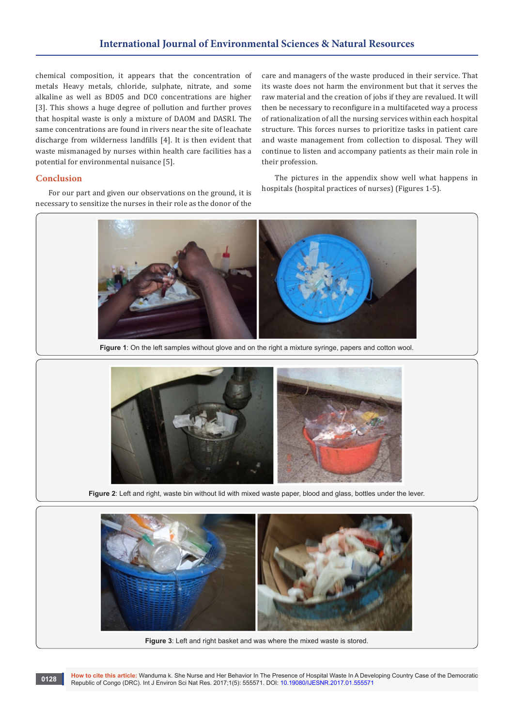# **International Journal of Environmental Sciences & Natural Resources**

chemical composition, it appears that the concentration of metals Heavy metals, chloride, sulphate, nitrate, and some alkaline as well as BD05 and DC0 concentrations are higher [3]. This shows a huge degree of pollution and further proves that hospital waste is only a mixture of DAOM and DASRI. The same concentrations are found in rivers near the site of leachate discharge from wilderness landfills [4]. It is then evident that waste mismanaged by nurses within health care facilities has a potential for environmental nuisance [5].

care and managers of the waste produced in their service. That its waste does not harm the environment but that it serves the raw material and the creation of jobs if they are revalued. It will then be necessary to reconfigure in a multifaceted way a process of rationalization of all the nursing services within each hospital structure. This forces nurses to prioritize tasks in patient care and waste management from collection to disposal. They will continue to listen and accompany patients as their main role in their profession.

#### **Conclusion**

For our part and given our observations on the ground, it is necessary to sensitize the nurses in their role as the donor of the

The pictures in the appendix show well what happens in hospitals (hospital practices of nurses) (Figures 1-5).



**Figure 1**: On the left samples without glove and on the right a mixture syringe, papers and cotton wool.



**Figure 2**: Left and right, waste bin without lid with mixed waste paper, blood and glass, bottles under the lever.



**Figure 3**: Left and right basket and was where the mixed waste is stored.

**How to cite this article:** Wanduma k. She Nurse and Her Behavior In The Presence of Hospital Waste In A Developing Country Case of the Democratic Republic of Congo (DRC). Int J Environ Sci Nat Res. 2017;1(5): 555571. DOI: [10.19080/IJESNR.2017.01.555571](http://dx.doi.org/10.19080/IJESNR.2017.01.555571
) **Provessional Republic of Congo** (DRC). Int J Environ Sci Nat Res. 2017;1(5): 555571. DOI: 10.19080/IJESNR.2017.01.